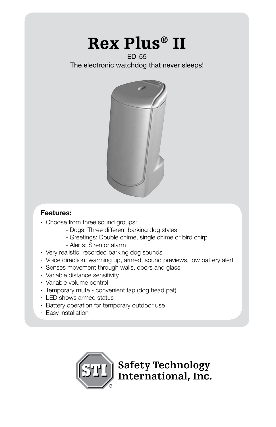# Rex Plus® II

### ED-55

The electronic watchdog that never sleeps!



### **Features:**

- · Choose from three sound groups:
	- Dogs: Three different barking dog styles
	- Greetings: Double chime, single chime or bird chirp
	- Alerts: Siren or alarm
- · Very realistic, recorded barking dog sounds
- · Voice direction: warming up, armed, sound previews, low battery alert
- · Senses movement through walls, doors and glass
- · Variable distance sensitivity
- · Variable volume control
- · Temporary mute convenient tap (dog head pat)
- · LED shows armed status
- · Battery operation for temporary outdoor use
- · Easy installation

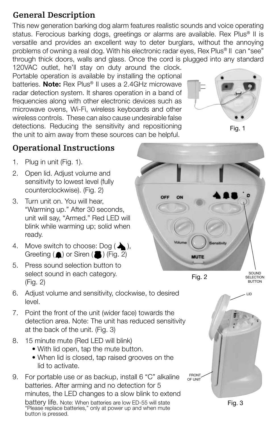# **General Description**

This new generation barking dog alarm features realistic sounds and voice operating status. Ferocious barking dogs, greetings or alarms are available. Rex Plus<sup>®</sup> II is versatile and provides an excellent way to deter burglars, without the annoying problems of owning a real dog. With his electronic radar eyes, Rex Plus<sup>®</sup> II can "see" through thick doors, walls and glass. Once the cord is plugged into any standard 120VAC outlet, he'll stay on duty around the clock.

Portable operation is available by installing the optional batteries. **Note:** Rex Plus<sup>®</sup> II uses a 2.4GHz microwave radar detection system. It shares operation in a band of frequencies along with other electronic devices such as microwave ovens, Wi-Fi, wireless keyboards and other wireless controls. These can also cause undesirable false detections. Reducing the sensitivity and repositioning the unit to aim away from these sources can be helpful.





# **Operational Instructions**

- 1. Plug in unit (Fig. 1).
- 2. Open lid. Adjust volume and sensitivity to lowest level (fully counterclockwise). (Fig. 2)
- 3. Turn unit on. You will hear, "Warming up." After 30 seconds, unit will say, "Armed." Red LED will blink while warming up; solid when ready.
- 4. Move switch to choose:  $\text{Doq}(\triangle)$ , Greeting ( ) or Siren ( ) (Fig. 2)
- 5. Press sound selection button to select sound in each category. (Fig. 2)
- 6. Adjust volume and sensitivity, clockwise, to desired level.
- 7. Point the front of the unit (wider face) towards the detection area. Note: The unit has reduced sensitivity at the back of the unit. (Fig. 3)
- 8. 15 minute mute (Red LED will blink)
	- With lid open, tap the mute button.
	- When lid is closed, tap raised grooves on the lid to activate.
- 9. For portable use or as backup, install 6 "C" alkaline batteries. After arming and no detection for 5 minutes, the LED changes to a slow blink to extend battery life. Note: When batteries are low ED-55 will state "Please replace batteries," only at power up and when mute button is pressed.



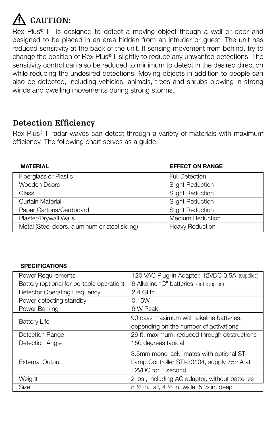# **CAUTION:**

Rex Plus<sup>®</sup> II is designed to detect a moving object though a wall or door and designed to be placed in an area hidden from an intruder or guest. The unit has reduced sensitivity at the back of the unit. If sensing movement from behind, try to change the position of Rex Plus® II slightly to reduce any unwanted detections. The sensitivity control can also be reduced to minimum to detect in the desired direction while reducing the undesired detections. Moving objects in addition to people can also be detected, including vehicles, animals, trees and shrubs blowing in strong winds and dwelling movements during strong storms.

# **Detection Efficiency**

Rex Plus® II radar waves can detect through a variety of materials with maximum efficiency. The following chart serves as a guide.

### **MATERIAL EFFECT ON RANGE**

| Fiberglass or Plastic                         | <b>Full Detection</b>   |
|-----------------------------------------------|-------------------------|
| Wooden Doors                                  | <b>Slight Reduction</b> |
| Glass                                         | <b>Slight Reduction</b> |
| Curtain Material                              | <b>Slight Reduction</b> |
| Paper Cartons/Cardboard                       | <b>Slight Reduction</b> |
| Plaster/Drywall Walls                         | <b>Medium Reduction</b> |
| Metal (Steel doors, aluminum or steel siding) | <b>Heavy Reduction</b>  |

### **SPECIFICATIONS**

| Power Requirements                        | 120 VAC Plug-in Adapter, 12VDC 0.5A (supplied)                                                              |
|-------------------------------------------|-------------------------------------------------------------------------------------------------------------|
| Battery (optional for portable operation) | 6 Alkaline "C" batteries (not supplied)                                                                     |
| Detector Operating Frequency              | $2.4$ GHz                                                                                                   |
| Power detecting standby                   | 0.15W                                                                                                       |
| Power Barking                             | 6 W Peak                                                                                                    |
| <b>Battery Life</b>                       | 90 days maximum with alkaline batteries,<br>depending on the number of activations                          |
| Detection Range                           | 26 ft. maximum, reduced through obstructions                                                                |
| Detection Angle                           | 150 degrees typical                                                                                         |
| <b>External Output</b>                    | 3.5mm mono jack, mates with optional STI<br>Lamp Controller STI-30104, supply 75mA at<br>12VDC for 1 second |
| Weight                                    | 2 lbs., including AC adaptor, without batteries                                                             |
| <b>Size</b>                               | 8 1/2 in. tall, 4 1/2 in. wide, 5 1/2 in. deep                                                              |